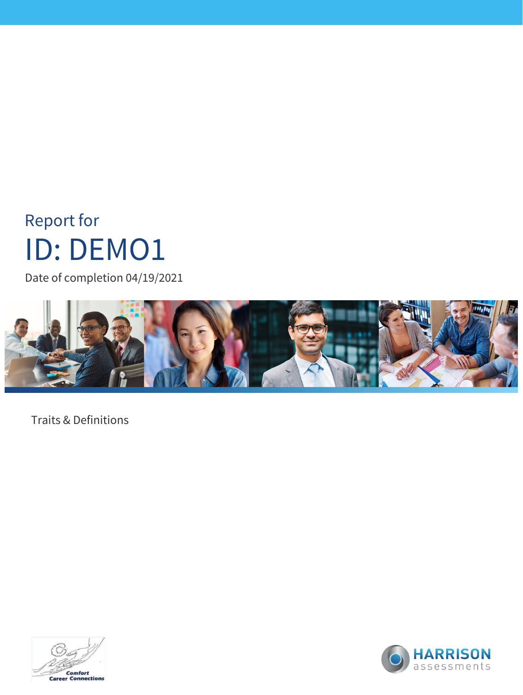# Report for ID: DEMO1

Date of completion 04/19/2021



Traits & Definitions



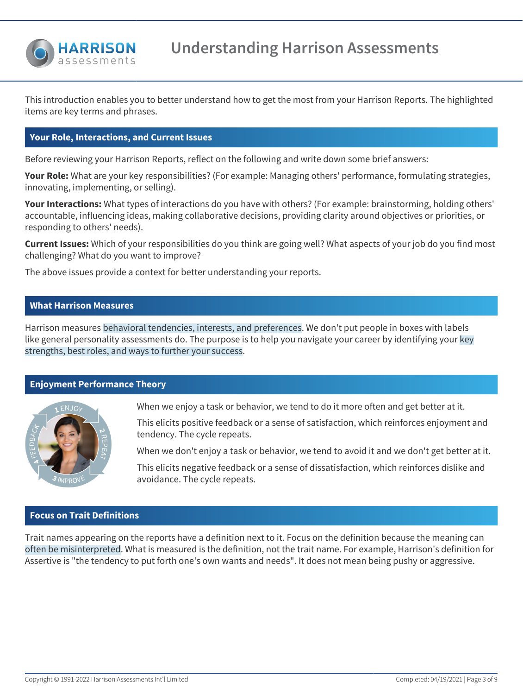

**Understanding Harrison Assessments**

This introduction enables you to better understand how to get the most from your Harrison Reports. The highlighted items are key terms and phrases.

### **Your Role, Interactions, and Current Issues**

Before reviewing your Harrison Reports, reflect on the following and write down some brief answers:

**Your Role:** What are your key responsibilities? (For example: Managing others' performance, formulating strategies, innovating, implementing, or selling).

**Your Interactions:** What types of interactions do you have with others? (For example: brainstorming, holding others' accountable, influencing ideas, making collaborative decisions, providing clarity around objectives or priorities, or responding to others' needs).

**Current Issues:** Which of your responsibilities do you think are going well? What aspects of your job do you find most challenging? What do you want to improve?

The above issues provide a context for better understanding your reports.

## **What Harrison Measures**

Harrison measures behavioral tendencies, interests, and preferences. We don't put people in boxes with labels like general personality assessments do. The purpose is to help you navigate your career by identifying your key strengths, best roles, and ways to further your success.

### **Enjoyment Performance Theory**



When we enjoy a task or behavior, we tend to do it more often and get better at it.

This elicits positive feedback or a sense of satisfaction, which reinforces enjoyment and tendency. The cycle repeats.

When we don't enjoy a task or behavior, we tend to avoid it and we don't get better at it.

This elicits negative feedback or a sense of dissatisfaction, which reinforces dislike and avoidance. The cycle repeats.

### **Focus on Trait Definitions**

Trait names appearing on the reports have a definition next to it. Focus on the definition because the meaning can often be misinterpreted. What is measured is the definition, not the trait name. For example, Harrison's definition for Assertive is "the tendency to put forth one's own wants and needs". It does not mean being pushy or aggressive.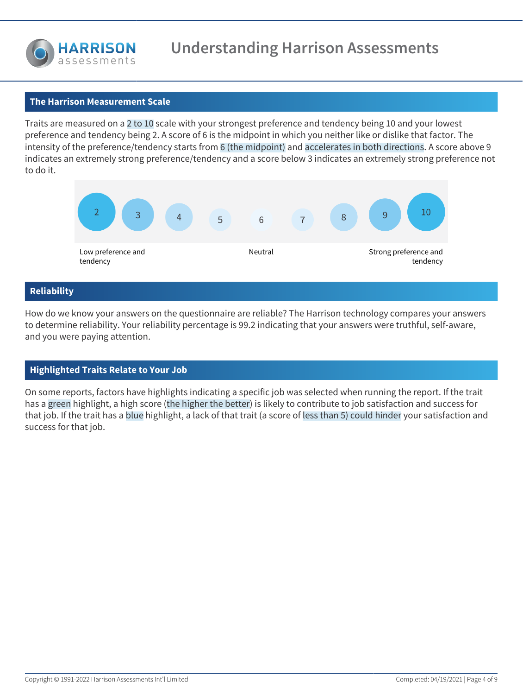

# **The Harrison Measurement Scale**

Traits are measured on a 2 to 10 scale with your strongest preference and tendency being 10 and your lowest preference and tendency being 2. A score of 6 is the midpoint in which you neither like or dislike that factor. The intensity of the preference/tendency starts from 6 (the midpoint) and accelerates in both directions. A score above 9 indicates an extremely strong preference/tendency and a score below 3 indicates an extremely strong preference not to do it.



# **Reliability**

How do we know your answers on the questionnaire are reliable? The Harrison technology compares your answers to determine reliability. Your reliability percentage is 99.2 indicating that your answers were truthful, self-aware, and you were paying attention.

### **Highlighted Traits Relate to Your Job**

On some reports, factors have highlights indicating a specific job was selected when running the report. If the trait has a green highlight, a high score (the higher the better) is likely to contribute to job satisfaction and success for that job. If the trait has a blue highlight, a lack of that trait (a score of less than 5) could hinder your satisfaction and success for that job.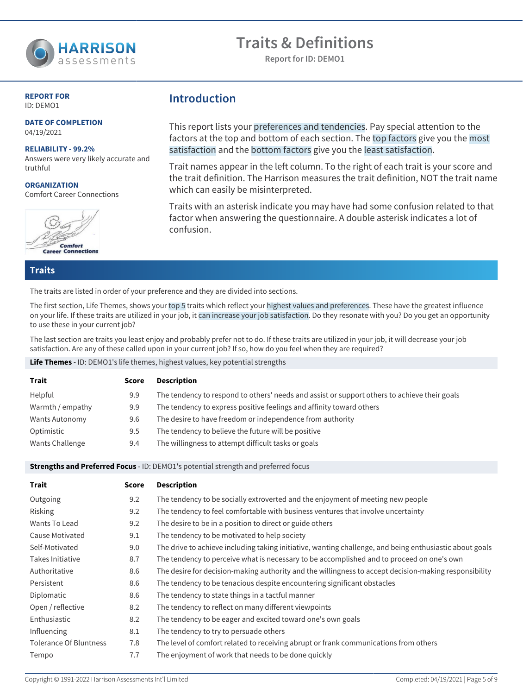

**Report for ID: DEMO1**

#### **REPORT FOR** ID: DEMO1

**DATE OF COMPLETION** 04/19/2021

#### **RELIABILITY - 99.2%**

Answers were very likely accurate and truthful

**ORGANIZATION** Comfort Career Connections



**Introduction**

This report lists your preferences and tendencies. Pay special attention to the factors at the top and bottom of each section. The top factors give you the most satisfaction and the bottom factors give you the least satisfaction.

Trait names appear in the left column. To the right of each trait is your score and the trait definition. The Harrison measures the trait definition, NOT the trait name which can easily be misinterpreted.

Traits with an asterisk indicate you may have had some confusion related to that factor when answering the questionnaire. A double asterisk indicates a lot of confusion.

**Traits**

The traits are listed in order of your preference and they are divided into sections.

The first section, Life Themes, shows your top 5 traits which reflect your highest values and preferences. These have the greatest influence on your life. If these traits are utilized in your job, it can increase your job satisfaction. Do they resonate with you? Do you get an opportunity to use these in your current job?

The last section are traits you least enjoy and probably prefer not to do. If these traits are utilized in your job, it will decrease your job satisfaction. Are any of these called upon in your current job? If so, how do you feel when they are required?

**Life Themes** - ID: DEMO1's life themes, highest values, key potential strengths

| <b>Trait</b>     | Score | <b>Description</b>                                                                           |
|------------------|-------|----------------------------------------------------------------------------------------------|
| Helpful          | 9.9   | The tendency to respond to others' needs and assist or support others to achieve their goals |
| Warmth / empathy | 9.9   | The tendency to express positive feelings and affinity toward others                         |
| Wants Autonomy   | 9.6   | The desire to have freedom or independence from authority                                    |
| Optimistic       | 9.5   | The tendency to believe the future will be positive                                          |
| Wants Challenge  | 9.4   | The willingness to attempt difficult tasks or goals                                          |

#### **Strengths and Preferred Focus** - ID: DEMO1's potential strength and preferred focus

| <b>Trait</b>                  | <b>Score</b> | <b>Description</b>                                                                                      |
|-------------------------------|--------------|---------------------------------------------------------------------------------------------------------|
| Outgoing                      | 9.2          | The tendency to be socially extroverted and the enjoyment of meeting new people                         |
| Risking                       | 9.2          | The tendency to feel comfortable with business ventures that involve uncertainty                        |
| Wants To Lead                 | 9.2          | The desire to be in a position to direct or guide others                                                |
| Cause Motivated               | 9.1          | The tendency to be motivated to help society                                                            |
| Self-Motivated                | 9.0          | The drive to achieve including taking initiative, wanting challenge, and being enthusiastic about goals |
| Takes Initiative              | 8.7          | The tendency to perceive what is necessary to be accomplished and to proceed on one's own               |
| Authoritative                 | 8.6          | The desire for decision-making authority and the willingness to accept decision-making responsibility   |
| Persistent                    | 8.6          | The tendency to be tenacious despite encountering significant obstacles                                 |
| Diplomatic                    | 8.6          | The tendency to state things in a tactful manner                                                        |
| Open / reflective             | 8.2          | The tendency to reflect on many different viewpoints                                                    |
| Enthusiastic                  | 8.2          | The tendency to be eager and excited toward one's own goals                                             |
| Influencing                   | 8.1          | The tendency to try to persuade others                                                                  |
| <b>Tolerance Of Bluntness</b> | 7.8          | The level of comfort related to receiving abrupt or frank communications from others                    |
| Tempo                         | 7.7          | The enjoyment of work that needs to be done quickly                                                     |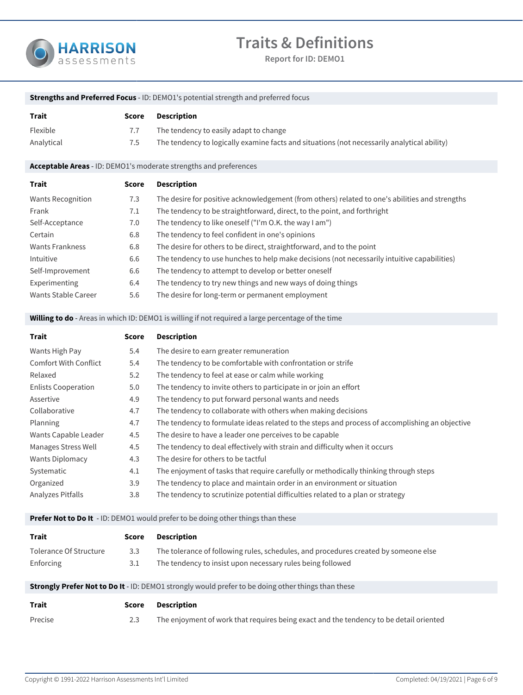

**Report for ID: DEMO1**

| <b>Strengths and Preferred Focus</b> - ID: DEMO1's potential strength and preferred focus |                                                                                                    |                                                                                                |  |
|-------------------------------------------------------------------------------------------|----------------------------------------------------------------------------------------------------|------------------------------------------------------------------------------------------------|--|
| Trait                                                                                     | <b>Score</b>                                                                                       | <b>Description</b>                                                                             |  |
| Flexible                                                                                  | 7.7                                                                                                | The tendency to easily adapt to change                                                         |  |
| Analytical                                                                                | 7.5                                                                                                | The tendency to logically examine facts and situations (not necessarily analytical ability)    |  |
|                                                                                           |                                                                                                    | Acceptable Areas - ID: DEMO1's moderate strengths and preferences                              |  |
| Trait                                                                                     | <b>Score</b>                                                                                       | <b>Description</b>                                                                             |  |
| <b>Wants Recognition</b>                                                                  | 7.3                                                                                                | The desire for positive acknowledgement (from others) related to one's abilities and strengths |  |
| Frank                                                                                     | 7.1                                                                                                | The tendency to be straightforward, direct, to the point, and forthright                       |  |
| Self-Acceptance                                                                           | 7.0                                                                                                | The tendency to like oneself ("I'm O.K. the way I am")                                         |  |
| Certain                                                                                   | 6.8                                                                                                | The tendency to feel confident in one's opinions                                               |  |
| <b>Wants Frankness</b>                                                                    | 6.8                                                                                                | The desire for others to be direct, straightforward, and to the point                          |  |
| Intuitive                                                                                 | 6.6                                                                                                | The tendency to use hunches to help make decisions (not necessarily intuitive capabilities)    |  |
| Self-Improvement                                                                          | 6.6                                                                                                | The tendency to attempt to develop or better oneself                                           |  |
| Experimenting                                                                             | 6.4                                                                                                | The tendency to try new things and new ways of doing things                                    |  |
| Wants Stable Career                                                                       | 5.6                                                                                                | The desire for long-term or permanent employment                                               |  |
|                                                                                           | Willing to do - Areas in which ID: DEMO1 is willing if not required a large percentage of the time |                                                                                                |  |

| Trait                        | <b>Score</b> | <b>Description</b>                                                                             |
|------------------------------|--------------|------------------------------------------------------------------------------------------------|
| Wants High Pay               | 5.4          | The desire to earn greater remuneration                                                        |
| <b>Comfort With Conflict</b> | 5.4          | The tendency to be comfortable with confrontation or strife                                    |
| Relaxed                      | 5.2          | The tendency to feel at ease or calm while working                                             |
| <b>Enlists Cooperation</b>   | 5.0          | The tendency to invite others to participate in or join an effort                              |
| Assertive                    | 4.9          | The tendency to put forward personal wants and needs                                           |
| Collaborative                | 4.7          | The tendency to collaborate with others when making decisions                                  |
| Planning                     | 4.7          | The tendency to formulate ideas related to the steps and process of accomplishing an objective |
| Wants Capable Leader         | 4.5          | The desire to have a leader one perceives to be capable                                        |
| Manages Stress Well          | 4.5          | The tendency to deal effectively with strain and difficulty when it occurs                     |
| <b>Wants Diplomacy</b>       | 4.3          | The desire for others to be tactful                                                            |
| Systematic                   | 4.1          | The enjoyment of tasks that require carefully or methodically thinking through steps           |
| Organized                    | 3.9          | The tendency to place and maintain order in an environment or situation                        |
| Analyzes Pitfalls            | 3.8          | The tendency to scrutinize potential difficulties related to a plan or strategy                |

### **Prefer Not to Do It** - ID: DEMO1 would prefer to be doing other things than these

| Trait                  | Score | Description                                                                         |
|------------------------|-------|-------------------------------------------------------------------------------------|
| Tolerance Of Structure | 3.3   | The tolerance of following rules, schedules, and procedures created by someone else |
| Enforcing              |       | The tendency to insist upon necessary rules being followed                          |

#### **Strongly Prefer Not to Do It** - ID: DEMO1 strongly would prefer to be doing other things than these

| Trait   | Score | Description                                                                            |
|---------|-------|----------------------------------------------------------------------------------------|
| Precise |       | The enjoyment of work that requires being exact and the tendency to be detail oriented |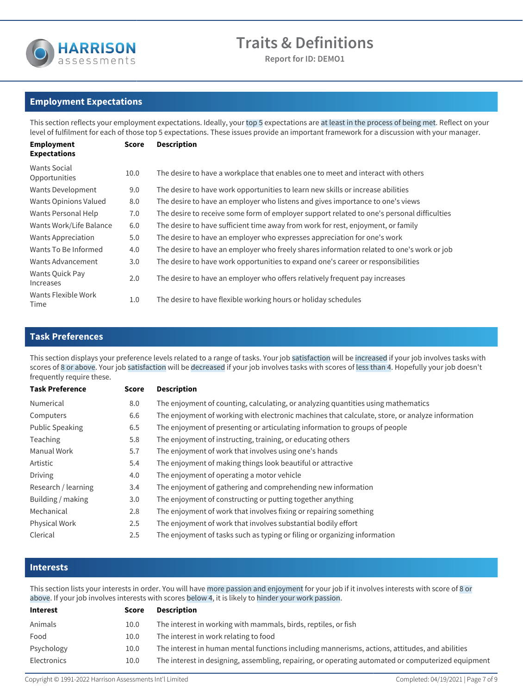

**Report for ID: DEMO1**

# **Employment Expectations**

This section reflects your employment expectations. Ideally, your top 5 expectations are at least in the process of being met. Reflect on your level of fulfilment for each of those top 5 expectations. These issues provide an important framework for a discussion with your manager.

| <b>Employment</b><br><b>Expectations</b> | <b>Score</b> | <b>Description</b>                                                                         |
|------------------------------------------|--------------|--------------------------------------------------------------------------------------------|
| <b>Wants Social</b><br>Opportunities     | 10.0         | The desire to have a workplace that enables one to meet and interact with others           |
| Wants Development                        | 9.0          | The desire to have work opportunities to learn new skills or increase abilities            |
| Wants Opinions Valued                    | 8.0          | The desire to have an employer who listens and gives importance to one's views             |
| Wants Personal Help                      | 7.0          | The desire to receive some form of employer support related to one's personal difficulties |
| Wants Work/Life Balance                  | 6.0          | The desire to have sufficient time away from work for rest, enjoyment, or family           |
| <b>Wants Appreciation</b>                | 5.0          | The desire to have an employer who expresses appreciation for one's work                   |
| Wants To Be Informed                     | 4.0          | The desire to have an employer who freely shares information related to one's work or job  |
| Wants Advancement                        | 3.0          | The desire to have work opportunities to expand one's career or responsibilities           |
| Wants Quick Pay<br>Increases             | 2.0          | The desire to have an employer who offers relatively frequent pay increases                |
| Wants Flexible Work<br>Time              | 1.0          | The desire to have flexible working hours or holiday schedules                             |

# **Task Preferences**

This section displays your preference levels related to a range of tasks. Your job satisfaction will be increased if your job involves tasks with scores of 8 or above. Your job satisfaction will be decreased if your job involves tasks with scores of less than 4. Hopefully your job doesn't frequently require these.

| <b>Task Preference</b> | Score   | <b>Description</b>                                                                              |
|------------------------|---------|-------------------------------------------------------------------------------------------------|
| Numerical              | 8.0     | The enjoyment of counting, calculating, or analyzing quantities using mathematics               |
| Computers              | 6.6     | The enjoyment of working with electronic machines that calculate, store, or analyze information |
| <b>Public Speaking</b> | 6.5     | The enjoyment of presenting or articulating information to groups of people                     |
| Teaching               | 5.8     | The enjoyment of instructing, training, or educating others                                     |
| Manual Work            | 5.7     | The enjoyment of work that involves using one's hands                                           |
| Artistic               | 5.4     | The enjoyment of making things look beautiful or attractive                                     |
| <b>Driving</b>         | 4.0     | The enjoyment of operating a motor vehicle                                                      |
| Research / learning    | 3.4     | The enjoyment of gathering and comprehending new information                                    |
| Building / making      | 3.0     | The enjoyment of constructing or putting together anything                                      |
| Mechanical             | 2.8     | The enjoyment of work that involves fixing or repairing something                               |
| Physical Work          | 2.5     | The enjoyment of work that involves substantial bodily effort                                   |
| Clerical               | $2.5\,$ | The enjoyment of tasks such as typing or filing or organizing information                       |

# **Interests**

This section lists your interests in order. You will have more passion and enjoyment for your job if it involves interests with score of 8 or above. If your job involves interests with scores below 4, it is likely to hinder your work passion.

| <b>Interest</b><br>Score |                                                                                                    |
|--------------------------|----------------------------------------------------------------------------------------------------|
| Animals                  | The interest in working with mammals, birds, reptiles, or fish                                     |
| Food                     |                                                                                                    |
| Psychology               | The interest in human mental functions including mannerisms, actions, attitudes, and abilities     |
| Electronics              | The interest in designing, assembling, repairing, or operating automated or computerized equipment |
|                          |                                                                                                    |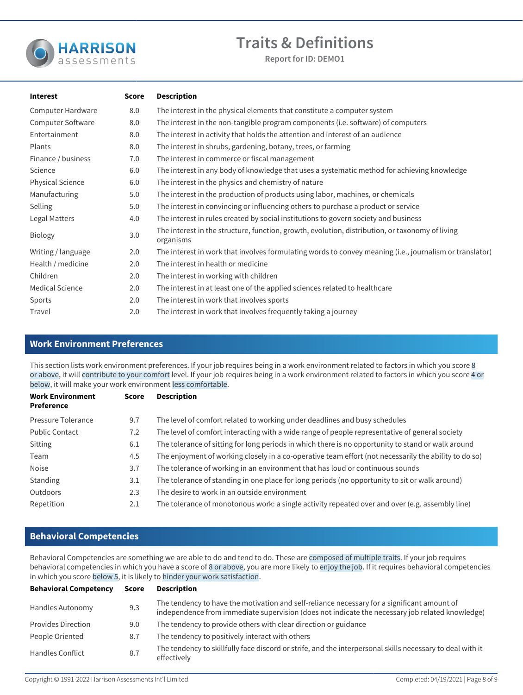

**Report for ID: DEMO1**

| <b>Interest</b>         | <b>Score</b> | <b>Description</b>                                                                                           |
|-------------------------|--------------|--------------------------------------------------------------------------------------------------------------|
| Computer Hardware       | 8.0          | The interest in the physical elements that constitute a computer system                                      |
| Computer Software       | 8.0          | The interest in the non-tangible program components (i.e. software) of computers                             |
| Entertainment           | 8.0          | The interest in activity that holds the attention and interest of an audience                                |
| Plants                  | 8.0          | The interest in shrubs, gardening, botany, trees, or farming                                                 |
| Finance / business      | 7.0          | The interest in commerce or fiscal management                                                                |
| Science                 | 6.0          | The interest in any body of knowledge that uses a systematic method for achieving knowledge                  |
| <b>Physical Science</b> | 6.0          | The interest in the physics and chemistry of nature                                                          |
| Manufacturing           | 5.0          | The interest in the production of products using labor, machines, or chemicals                               |
| Selling                 | 5.0          | The interest in convincing or influencing others to purchase a product or service                            |
| Legal Matters           | 4.0          | The interest in rules created by social institutions to govern society and business                          |
| <b>Biology</b>          | 3.0          | The interest in the structure, function, growth, evolution, distribution, or taxonomy of living<br>organisms |
| Writing / language      | 2.0          | The interest in work that involves formulating words to convey meaning (i.e., journalism or translator)      |
| Health / medicine       | 2.0          | The interest in health or medicine                                                                           |
| Children                | 2.0          | The interest in working with children                                                                        |
| <b>Medical Science</b>  | 2.0          | The interest in at least one of the applied sciences related to healthcare                                   |
| Sports                  | 2.0          | The interest in work that involves sports                                                                    |
| Travel                  | 2.0          | The interest in work that involves frequently taking a journey                                               |

# **Work Environment Preferences**

This section lists work environment preferences. If your job requires being in a work environment related to factors in which you score 8 or above, it will contribute to your comfort level. If your job requires being in a work environment related to factors in which you score 4 or below, it will make your work environment less comfortable.

| <b>Work Environment</b><br>Preference | Score | <b>Description</b>                                                                                    |
|---------------------------------------|-------|-------------------------------------------------------------------------------------------------------|
| Pressure Tolerance                    | 9.7   | The level of comfort related to working under deadlines and busy schedules                            |
| <b>Public Contact</b>                 | 7.2   | The level of comfort interacting with a wide range of people representative of general society        |
| Sitting                               | 6.1   | The tolerance of sitting for long periods in which there is no opportunity to stand or walk around    |
| Team                                  | 4.5   | The enjoyment of working closely in a co-operative team effort (not necessarily the ability to do so) |
| <b>Noise</b>                          | 3.7   | The tolerance of working in an environment that has loud or continuous sounds                         |
| <b>Standing</b>                       | 3.1   | The tolerance of standing in one place for long periods (no opportunity to sit or walk around)        |
| Outdoors                              | 2.3   | The desire to work in an outside environment                                                          |
| Repetition                            | 2.1   | The tolerance of monotonous work: a single activity repeated over and over (e.g. assembly line)       |

# **Behavioral Competencies**

Behavioral Competencies are something we are able to do and tend to do. These are composed of multiple traits. If your job requires behavioral competencies in which you have a score of 8 or above, you are more likely to enjoy the job. If it requires behavioral competencies in which you score below 5, it is likely to hinder your work satisfaction.

| <b>Behavioral Competency</b> | Score | <b>Description</b>                                                                                                                                                                             |
|------------------------------|-------|------------------------------------------------------------------------------------------------------------------------------------------------------------------------------------------------|
| Handles Autonomy             | 9.3   | The tendency to have the motivation and self-reliance necessary for a significant amount of<br>independence from immediate supervision (does not indicate the necessary job related knowledge) |
| <b>Provides Direction</b>    | 9.0   | The tendency to provide others with clear direction or guidance                                                                                                                                |
| People Oriented              | 8.7   | The tendency to positively interact with others                                                                                                                                                |
| <b>Handles Conflict</b>      | 8.7   | The tendency to skillfully face discord or strife, and the interpersonal skills necessary to deal with it<br>effectively                                                                       |